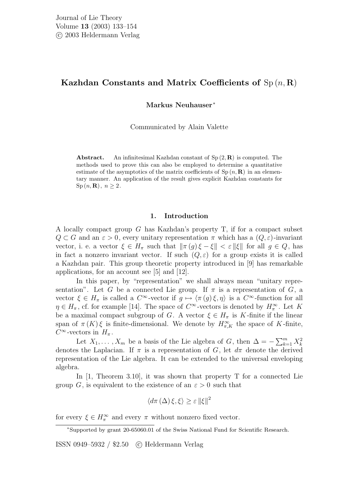# Kazhdan Constants and Matrix Coefficients of  $Sp(n, R)$

Markus Neuhauser<sup>∗</sup>

Communicated by Alain Valette

**Abstract.** An infinitesimal Kazhdan constant of  $Sp(2, \mathbf{R})$  is computed. The methods used to prove this can also be employed to determine a quantitative estimate of the asymptotics of the matrix coefficients of  $Sp(n, R)$  in an elementary manner. An application of the result gives explicit Kazhdan constants for  $\mathrm{Sp}(n,\mathbf{R}), n \geq 2.$ 

## 1. Introduction

A locally compact group G has Kazhdan's property T, if for a compact subset  $Q \subset G$  and an  $\varepsilon > 0$ , every unitary representation  $\pi$  which has a  $(Q, \varepsilon)$ -invariant vector, i. e. a vector  $\xi \in H_\pi$  such that  $\|\pi(g)\xi - \xi\| < \varepsilon \|\xi\|$  for all  $g \in Q$ , has in fact a nonzero invariant vector. If such  $(Q, \varepsilon)$  for a group exists it is called a Kazhdan pair. This group theoretic property introduced in [9] has remarkable applications, for an account see [5] and [12].

In this paper, by "representation" we shall always mean "unitary representation". Let G be a connected Lie group. If  $\pi$  is a representation of G, a vector  $\xi \in H_{\pi}$  is called a  $C^{\infty}$ -vector if  $g \mapsto \langle \pi(g)\xi, \eta \rangle$  is a  $C^{\infty}$ -function for all  $\eta \in H_{\pi}$ , cf. for example [14]. The space of  $C^{\infty}$ -vectors is denoted by  $H_{\pi}^{\infty}$ . Let K be a maximal compact subgroup of G. A vector  $\xi \in H_{\pi}$  is K-finite if the linear span of  $\pi(K)\xi$  is finite-dimensional. We denote by  $H^{\infty}_{\pi,K}$  the space of K-finite,  $C^{\infty}$ -vectors in  $H_{\pi}$ .

Let  $X_1, \ldots, X_m$  be a basis of the Lie algebra of G, then  $\Delta = -\sum_{k=1}^m X_k^2$ denotes the Laplacian. If  $\pi$  is a representation of G, let  $d\pi$  denote the derived representation of the Lie algebra. It can be extended to the universal enveloping algebra.

In [1, Theorem 3.10], it was shown that property T for a connected Lie group G, is equivalent to the existence of an  $\varepsilon > 0$  such that

$$
\langle d\pi\left(\Delta\right)\xi,\xi\rangle \geq \varepsilon \left\|\xi\right\|^2
$$

for every  $\xi \in H_{\pi}^{\infty}$  and every  $\pi$  without nonzero fixed vector.

<sup>∗</sup>Supported by grant 20-65060.01 of the Swiss National Fund for Scientific Research.

ISSN 0949–5932 / \$2.50 c Heldermann Verlag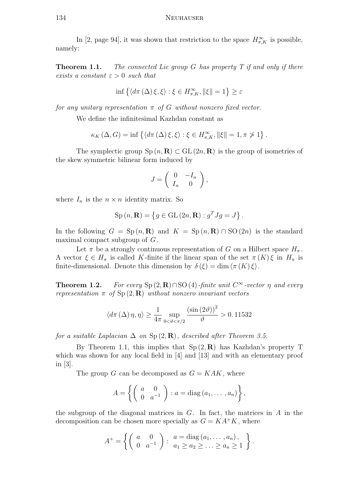In [2, page 94], it was shown that restriction to the space  $H^{\infty}_{\pi,K}$  is possible, namely:

**Theorem 1.1.** The connected Lie group G has property  $T$  if and only if there exists a constant  $\varepsilon > 0$  such that

$$
\inf \left\{ \langle d\pi\left(\Delta\right)\xi,\xi \rangle : \xi \in H_{\pi,K}^{\infty}, \|\xi\| = 1 \right\} \ge \varepsilon
$$

for any unitary representation  $\pi$  of G without nonzero fixed vector.

We define the infinitesimal Kazhdan constant as

$$
\kappa_K(\Delta, G) = \inf \left\{ \langle d\pi(\Delta)\xi, \xi \rangle : \xi \in H^{\infty}_{\pi, K}, ||\xi|| = 1, \pi \ngeq 1 \right\}.
$$

The symplectic group  $\text{Sp}(n, \mathbf{R}) \subset \text{GL}(2n, \mathbf{R})$  is the group of isometries of the skew symmetric bilinear form induced by

$$
J = \left( \begin{array}{cc} 0 & -I_n \\ I_n & 0 \end{array} \right),
$$

where  $I_n$  is the  $n \times n$  identity matrix. So

$$
Sp(n, \mathbf{R}) = \{ g \in GL(2n, \mathbf{R}) : g^T J g = J \}.
$$

In the following  $G = Sp(n, \mathbf{R})$  and  $K = Sp(n, \mathbf{R}) \cap SO(2n)$  is the standard maximal compact subgroup of G.

Let  $\pi$  be a strongly continuous representation of G on a Hilbert space  $H_{\pi}$ . A vector  $\xi \in H_{\pi}$  is called K-finite if the linear span of the set  $\pi(K)\xi$  in  $H_{\pi}$  is finite-dimensional. Denote this dimension by  $\delta(\xi) = \dim \langle \pi(K)\xi \rangle$ .

**Theorem 1.2.** For every Sp  $(2, \mathbf{R}) \cap SO(4)$ -finite unit  $C^{\infty}$ -vector  $\eta$  and every representation  $\pi$  of  $Sp(2, \mathbf{R})$  without nonzero invariant vectors

$$
\langle d\pi(\Delta)\eta, \eta \rangle \ge \frac{1}{4\pi} \sup_{0 < \vartheta < \pi/2} \frac{\left(\sin(2\vartheta)\right)^2}{\vartheta} > 0.11532
$$

for a suitable Laplacian  $\Delta$  on  $Sp(2, \mathbf{R})$ , described after Theorem 3.5.

By Theorem 1.1, this implies that  $Sp(2, \mathbb{R})$  has Kazhdan's property T which was shown for any local field in  $[4]$  and  $[13]$  and with an elementary proof in [3].

The group G can be decomposed as  $G = KAK$ , where

$$
A = \left\{ \left( \begin{array}{cc} a & 0 \\ 0 & a^{-1} \end{array} \right) : a = \text{diag}(a_1, \ldots, a_n) \right\},\,
$$

the subgroup of the diagonal matrices in  $G$ . In fact, the matrices in  $A$  in the decomposition can be chosen more specially as  $G = KA^+K$ , where

$$
A^+=\left\{\left(\begin{array}{cc}a&0\\0&a^{-1}\end{array}\right): \begin{array}{l}a=\operatorname{diag}\left(a_1,\ldots,a_n\right),\\a_1\geq a_2\geq\ldots\geq a_n\geq 1\end{array}\right\}.
$$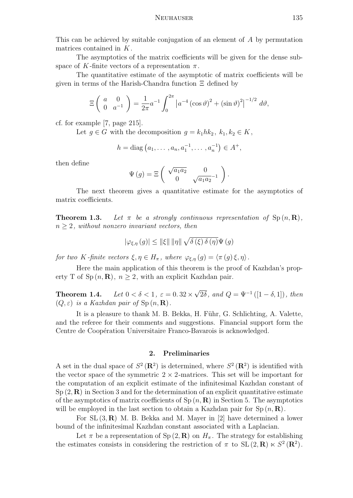This can be achieved by suitable conjugation of an element of A by permutation matrices contained in K.

The asymptotics of the matrix coefficients will be given for the dense subspace of K-finite vectors of a representation  $\pi$ .

The quantitative estimate of the asymptotic of matrix coefficients will be given in terms of the Harish-Chandra function Ξ defined by

$$
\Xi \left( \begin{array}{cc} a & 0 \\ 0 & a^{-1} \end{array} \right) = \frac{1}{2\pi} a^{-1} \int_0^{2\pi} \left| a^{-4} \left( \cos \vartheta \right)^2 + \left( \sin \vartheta \right)^2 \right|^{-1/2} d\vartheta,
$$

cf. for example [7, page 215].

Let  $g \in G$  with the decomposition  $g = k_1 h k_2, k_1, k_2 \in K$ ,

$$
h = \text{diag}(a_1, \dots, a_n, a_1^{-1}, \dots, a_n^{-1}) \in A^+,
$$

then define

$$
\Psi(g) = \Xi \begin{pmatrix} \sqrt{a_1 a_2} & 0 \\ 0 & \sqrt{a_1 a_2}^{-1} \end{pmatrix}.
$$

The next theorem gives a quantitative estimate for the asymptotics of matrix coefficients.

**Theorem 1.3.** Let  $\pi$  be a strongly continuous representation of  $\text{Sp}(n,\mathbf{R})$ ,  $n \geq 2$ , without nonzero invariant vectors, then

$$
|\varphi_{\xi,\eta}(g)| \leq ||\xi|| \, ||\eta|| \, \sqrt{\delta(\xi)\,\delta(\eta)} \Psi(g)
$$

for two K-finite vectors  $\xi, \eta \in H_{\pi}$ , where  $\varphi_{\xi, \eta}(g) = \langle \pi(g) \xi, \eta \rangle$ .

Here the main application of this theorem is the proof of Kazhdan's property T of Sp  $(n, \mathbf{R})$ ,  $n \geq 2$ , with an explicit Kazhdan pair.

**Theorem 1.4.** Let  $0 < \delta < 1$ ,  $\varepsilon = 0.32 \times \sqrt{2\delta}$ , and  $Q = \Psi^{-1}([1 - \delta, 1])$ , then  $(Q, \varepsilon)$  is a Kazhdan pair of Sp  $(n, \mathbf{R})$ .

It is a pleasure to thank M. B. Bekka, H. Führ, G. Schlichting, A. Valette, and the referee for their comments and suggestions. Financial support form the Centre de Coopération Universitaire Franco-Bavarois is acknowledged.

## 2. Preliminaries

A set in the dual space of  $S^2(\mathbf{R}^2)$  is determined, where  $S^2(\mathbf{R}^2)$  is identified with the vector space of the symmetric  $2 \times 2$ -matrices. This set will be important for the computation of an explicit estimate of the infinitesimal Kazhdan constant of  $Sp(2,\mathbf{R})$  in Section 3 and for the determination of an explicit quantitative estimate of the asymptotics of matrix coefficients of  $Sp(n, \mathbf{R})$  in Section 5. The asymptotics will be employed in the last section to obtain a Kazhdan pair for  $Sp(n, R)$ .

For  $SL(3,\mathbf{R})$  M. B. Bekka and M. Mayer in [2] have determined a lower bound of the infinitesimal Kazhdan constant associated with a Laplacian.

Let  $\pi$  be a representation of Sp  $(2, \mathbf{R})$  on  $H_{\pi}$ . The strategy for establishing the estimates consists in considering the restriction of  $\pi$  to  $SL(2,\mathbf{R}) \ltimes S^2(\mathbf{R}^2)$ .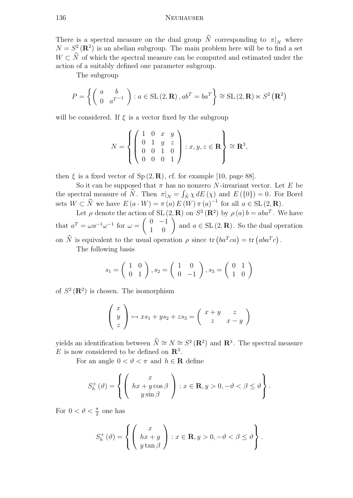#### 136 Neuhauser

There is a spectral measure on the dual group  $\widehat{N}$  corresponding to  $\pi|_N$  where  $N = S<sup>2</sup>(\mathbf{R}<sup>2</sup>)$  is an abelian subgroup. The main problem here will be to find a set  $W \subset \widehat{N}$  of which the spectral measure can be computed and estimated under the action of a suitably defined one parameter subgroup.

The subgroup

$$
P = \left\{ \left( \begin{array}{cc} a & b \\ 0 & a^{T-1} \end{array} \right) : a \in SL(2, \mathbf{R}), ab^T = ba^T \right\} \cong SL(2, \mathbf{R}) \ltimes S^2 (\mathbf{R}^2)
$$

will be considered. If  $\xi$  is a vector fixed by the subgroup

$$
N = \left\{ \left( \begin{array}{ccc} 1 & 0 & x & y \\ 0 & 1 & y & z \\ 0 & 0 & 1 & 0 \\ 0 & 0 & 0 & 1 \end{array} \right) : x, y, z \in \mathbf{R} \right\} \cong \mathbf{R}^{3},
$$

then  $\xi$  is a fixed vector of Sp  $(2, \mathbf{R})$ , cf. for example [10, page 88].

So it can be supposed that  $\pi$  has no nonzero N-invariant vector. Let E be the spectral measure of  $\widehat{N}$ . Then  $\pi|_N = \int_{\widehat{N}} \chi dE(\chi)$  and  $E(\{0\}) = 0$ . For Borel sets  $W \subset \widehat{N}$  we have  $E(a \cdot W) = \pi(a) E(W) \pi(a)^{-1}$  for all  $a \in SL(2, \mathbf{R})$ .

Let  $\rho$  denote the action of SL  $(2, \mathbf{R})$  on  $S^2(\mathbf{R}^2)$  by  $\rho(a) b = aba^T$ . We have that  $a^T = \omega a^{-1} \omega^{-1}$  for  $\omega = \begin{pmatrix} 0 & -1 \\ 1 & 0 \end{pmatrix}$  and  $a \in SL(2, \mathbf{R})$ . So the dual operation on  $\hat{N}$  is equivalent to the usual operation  $\rho$  since  $tr (ba^Tca) = tr (aba^Tc)$ .

The following basis

$$
s_1 = \left(\begin{array}{cc} 1 & 0 \\ 0 & 1 \end{array}\right), s_2 = \left(\begin{array}{cc} 1 & 0 \\ 0 & -1 \end{array}\right), s_3 = \left(\begin{array}{cc} 0 & 1 \\ 1 & 0 \end{array}\right)
$$

of  $S^2(\mathbf{R}^2)$  is chosen. The isomorphism

$$
\begin{pmatrix} x \\ y \\ z \end{pmatrix} \mapsto xs_1 + ys_2 + zs_3 = \begin{pmatrix} x + y & z \\ z & x - y \end{pmatrix}
$$

yields an identification between  $\hat{N} \cong N \cong S^2 (\mathbf{R}^2)$  and  $\mathbf{R}^3$ . The spectral measure E is now considered to be defined on  $\mathbb{R}^3$ .

For an angle  $0 < \vartheta < \pi$  and  $h \in \mathbf{R}$  define

$$
S_h^+(\theta) = \left\{ \left( \begin{array}{c} x \\ hx + y \cos \beta \\ y \sin \beta \end{array} \right) : x \in \mathbf{R}, y > 0, -\theta < \beta \le \theta \right\}.
$$

For  $0 < \vartheta < \frac{\pi}{2}$  one has

$$
S_h^+(\theta) = \left\{ \begin{pmatrix} x \\ hx + y \\ y \tan \beta \end{pmatrix} : x \in \mathbf{R}, y > 0, -\theta < \beta \le \theta \right\}.
$$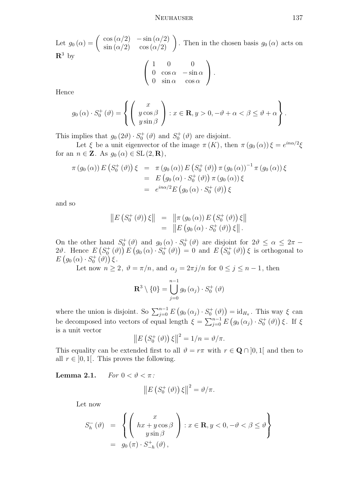Let  $g_0(\alpha) = \begin{pmatrix} \cos(\alpha/2) & -\sin(\alpha/2) \\ \sin(\alpha/2) & \cos(\alpha/2) \end{pmatrix}$ . Then in the chosen basis  $g_0(\alpha)$  acts on  $\mathbb{R}^3$  by

$$
\left(\begin{array}{ccc} 1 & 0 & 0 \\ 0 & \cos\alpha & -\sin\alpha \\ 0 & \sin\alpha & \cos\alpha \end{array}\right).
$$

Hence

$$
g_0(\alpha) \cdot S_0^+(\vartheta) = \left\{ \left( \begin{array}{c} x \\ y \cos \beta \\ y \sin \beta \end{array} \right) : x \in \mathbf{R}, y > 0, -\vartheta + \alpha < \beta \le \vartheta + \alpha \right\}.
$$

This implies that  $g_0(2\theta) \cdot S_0^+(\theta)$  and  $S_0^+(\theta)$  are disjoint.

Let  $\xi$  be a unit eigenvector of the image  $\pi(K)$ , then  $\pi(g_0(\alpha))\xi = e^{in\alpha/2}\xi$ for an  $n \in \mathbb{Z}$ . As  $g_0(\alpha) \in SL(2, \mathbb{R}),$ 

$$
\pi (g_0 (\alpha)) E (S_0^+ (\vartheta)) \xi = \pi (g_0 (\alpha)) E (S_0^+ (\vartheta)) \pi (g_0 (\alpha))^{-1} \pi (g_0 (\alpha)) \xi \n= E (g_0 (\alpha) \cdot S_0^+ (\vartheta)) \pi (g_0 (\alpha)) \xi \n= e^{in\alpha/2} E (g_0 (\alpha) \cdot S_0^+ (\vartheta)) \xi
$$

and so

$$
\begin{array}{rcl} \left\|E\left(S_0^+(\vartheta)\right)\xi\right\| & = & \left\|\pi\left(g_0\left(\alpha\right)\right)E\left(S_0^+\left(\vartheta\right)\right)\xi\right\| \\ & = & \left\|E\left(g_0\left(\alpha\right)\cdot S_0^+\left(\vartheta\right)\right)\xi\right\|.\end{array}
$$

On the other hand  $S_0^+(\theta)$  and  $g_0(\alpha) \cdot S_0^+(\theta)$  are disjoint for  $2\theta \leq \alpha \leq 2\pi$  $2\vartheta$ . Hence  $E(S_0^+(\vartheta)) E(g_0(\alpha) \cdot S_0^+(\vartheta)) = 0$  and  $E(S_0^+(\vartheta)) \xi$  is orthogonal to  $E\left(g_{0}\left(\alpha\right)\cdot S_{0}^{+}\left(\vartheta\right)\right)\xi.$ 

Let now  $n \geq 2$ ,  $\vartheta = \pi/n$ , and  $\alpha_j = 2\pi j/n$  for  $0 \leq j \leq n-1$ , then

$$
\mathbf{R}^{3} \setminus \{0\} = \bigcup_{j=0}^{n-1} g_{0}(\alpha_{j}) \cdot S_{0}^{+}(\vartheta)
$$

where the union is disjoint. So  $\sum_{j=0}^{n-1} E(g_0(\alpha_j) \cdot S_0^+(\theta)) = id_{H_{\pi}}$ . This way  $\xi$  can be decomposed into vectors of equal length  $\xi = \sum_{j=0}^{n-1} E(g_0(\alpha_j) \cdot S_0^+(\theta)) \xi$ . If  $\xi$ is a unit vector

$$
\left\|E\left(S_0^+\left(\vartheta\right)\right)\xi\right\|^2=1/n=\vartheta/\pi.
$$

This equality can be extended first to all  $\vartheta = r\pi$  with  $r \in \mathbf{Q} \cap [0,1]$  and then to all  $r \in [0, 1]$ . This proves the following.

Lemma 2.1. For  $0 < \vartheta < \pi$ :

$$
\left\|E\left(S_0^+\left(\vartheta\right)\right)\xi\right\|^2=\vartheta/\pi.
$$

Let now

$$
S_h^{-}(\vartheta) = \left\{ \begin{pmatrix} x \\ hx + y \cos \beta \\ y \sin \beta \end{pmatrix} : x \in \mathbf{R}, y < 0, -\vartheta < \beta \le \vartheta \right\}
$$
  
=  $g_0(\pi) \cdot S_{-h}^{+}(\vartheta)$ ,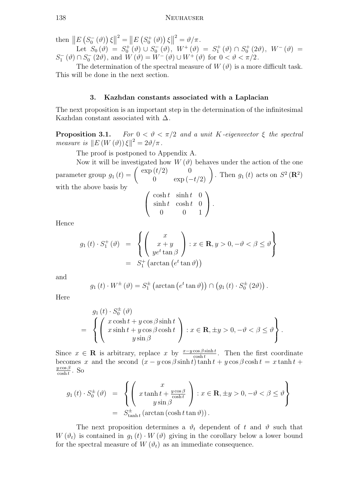then  $||E(S_0^ \left\|\frac{d}{dx}\left(\theta\right)\right\|^{2} = \left\|E\left(S_{0}^{+}\left(\theta\right)\right)\xi\right\|^{2} = \vartheta/\pi.$ 

 $|| - || L || \omega_0 (U) ||$ Let  $S_0(\vartheta) = S_0^{\dagger}(\vartheta) \cup S_0^{-}$  $S_0^-\left(\vartheta\right),\,\,W^+\left(\vartheta\right)\,\,=\,\,S_1^+\left(\vartheta\right)\,\cap\,S_0^+\left(2\vartheta\right),\,\,\,W^-\left(\vartheta\right)\,\,=\,\,$  $S_1^ \binom{1}{1}$   $(\vartheta) \cap S_0^ \widetilde{\mathcal{W}}(0,0) = \widetilde{\mathcal{W}}(\widehat{\mathcal{V}}) = \widetilde{\mathcal{W}}(\widehat{\mathcal{V}}) \cup W^+(\widehat{\mathcal{V}})$  for  $0 < \vartheta < \pi/2$ .

The determination of the spectral measure of  $W(\vartheta)$  is a more difficult task. This will be done in the next section.

## 3. Kazhdan constants associated with a Laplacian

The next proposition is an important step in the determination of the infinitesimal Kazhdan constant associated with  $\Delta$ .

**Proposition 3.1.** For  $0 < \vartheta < \pi/2$  and a unit K-eigenvector  $\xi$  the spectral measure is  $||E(W(\vartheta))\xi||^2 = 2\vartheta/\pi$ .

The proof is postponed to Appendix A.

Now it will be investigated how  $W(\vartheta)$  behaves under the action of the one parameter group  $g_1(t) = \begin{pmatrix} \exp(t/2) & 0 \\ 0 & \exp(-t/2) \end{pmatrix}$ . Then  $g_1(t)$  acts on  $S^2(\mathbf{R}^2)$ with the above basis by  $\sqrt{ }$ 

$$
\left(\begin{array}{ccc}\n\cosh t & \sinh t & 0\\
\sinh t & \cosh t & 0\\
0 & 0 & 1\n\end{array}\right).
$$

Hence

$$
g_1(t) \cdot S_1^+(\vartheta) = \left\{ \begin{pmatrix} x \\ x+y \\ ye^t \tan \beta \end{pmatrix} : x \in \mathbf{R}, y > 0, -\vartheta < \beta \le \vartheta \right\}
$$
  
=  $S_1^+$  (arctan  $(e^t \tan \vartheta)$ )

and

$$
g_1(t) \cdot W^{\pm}(\vartheta) = S_1^{\pm} \left(\arctan\left(e^t \tan \vartheta\right)\right) \cap \left(g_1(t) \cdot S_0^{\pm}(2\vartheta)\right).
$$

Here

$$
g_1(t) \cdot S_0^{\pm}(\vartheta)
$$
  
= 
$$
\left\{ \begin{pmatrix} x \cosh t + y \cos \beta \sinh t \\ x \sinh t + y \cos \beta \cosh t \\ y \sin \beta \end{pmatrix} : x \in \mathbf{R}, \pm y > 0, -\vartheta < \beta \le \vartheta \right\}.
$$

Since  $x \in \mathbf{R}$  is arbitrary, replace x by  $\frac{x-y\cos\beta\sinh t}{\cosh t}$ . Then the first coordinate becomes x and the second  $(x - y \cos \beta \sinh t) \tanh t + y \cos \beta \cosh t = x \tanh t + y \cos \beta \cosh t$  $y\cos\beta$  $\frac{y \cos \beta}{\cosh t}$ . So

$$
g_1(t) \cdot S_0^{\pm}(\vartheta) = \left\{ \left( \begin{array}{c} x \\ x \tanh t + \frac{y \cos \beta}{\cosh t} \\ y \sin \beta \end{array} \right) : x \in \mathbf{R}, \pm y > 0, -\vartheta < \beta \le \vartheta \right\}
$$
  
=  $S_{\tanh t}^{\pm} (\arctan (\cosh t \tan \vartheta)).$ 

The next proposition determines a  $\vartheta_t$  dependent of t and  $\vartheta$  such that  $W(\vartheta_t)$  is contained in  $g_1(t) \cdot W(\vartheta)$  giving in the corollary below a lower bound for the spectral measure of  $W(\vartheta_t)$  as an immediate consequence.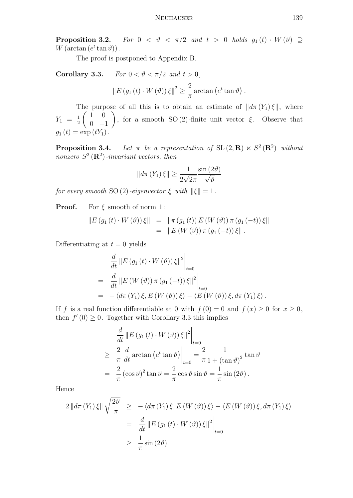Proposition 3.2. For  $0 < \vartheta < \pi/2$  and  $t > 0$  holds  $g_1(t) \cdot W(\vartheta) \supseteq$  $W(\arctan(e^t \tan \vartheta)).$ 

The proof is postponed to Appendix B.

Corollary 3.3. For  $0 < \vartheta < \pi/2$  and  $t > 0$ ,

$$
||E(g_1(t) \cdot W(\vartheta))\xi||^2 \ge \frac{2}{\pi}\arctan(e^t \tan \vartheta).
$$

The purpose of all this is to obtain an estimate of  $\|d\pi(Y_1)\xi\|$ , where  $Y_1 = \frac{1}{2}$ 2  $\begin{pmatrix} 1 & 0 \end{pmatrix}$  $0 -1$ ), for a smooth SO (2)-finite unit vector  $\xi$ . Observe that  $g_1(t) = \exp(tY_1).$ 

**Proposition 3.4.** Let  $\pi$  be a representation of SL(2, R)  $\ltimes S^2(\mathbb{R}^2)$  without nonzero  $S^2(\mathbf{R}^2)$ -invariant vectors, then

$$
||d\pi(Y_1)\xi|| \ge \frac{1}{2\sqrt{2\pi}}\frac{\sin(2\vartheta)}{\sqrt{\vartheta}}
$$

for every smooth SO (2)-eigenvector  $\xi$  with  $\|\xi\| = 1$ .

**Proof.** For  $\xi$  smooth of norm 1:

$$
||E (g_1 (t) \cdot W (\vartheta)) \xi|| = ||\pi (g_1 (t)) E (W (\vartheta)) \pi (g_1 (-t)) \xi||
$$
  
= 
$$
||E (W (\vartheta)) \pi (g_1 (-t)) \xi||.
$$

Differentiating at  $t = 0$  yields

$$
\frac{d}{dt} ||E (g_1 (t) \cdot W (\vartheta)) \xi||^2 \Big|_{t=0}
$$
\n
$$
= \frac{d}{dt} ||E (W (\vartheta)) \pi (g_1 (-t)) \xi||^2 \Big|_{t=0}
$$
\n
$$
= -\langle d\pi (Y_1) \xi, E (W (\vartheta)) \xi \rangle - \langle E (W (\vartheta)) \xi, d\pi (Y_1) \xi \rangle.
$$

If f is a real function differentiable at 0 with  $f(0) = 0$  and  $f(x) \ge 0$  for  $x \ge 0$ , then  $f'(0) \geq 0$ . Together with Corollary 3.3 this implies

$$
\frac{d}{dt} ||E(g_1(t) \cdot W(\vartheta))\xi||^2\Big|_{t=0}
$$
  
\n
$$
\geq \frac{2}{\pi} \frac{d}{dt} \arctan (e^t \tan \vartheta) \Big|_{t=0} = \frac{2}{\pi} \frac{1}{1 + (\tan \vartheta)^2} \tan \vartheta
$$
  
\n
$$
= \frac{2}{\pi} (\cos \vartheta)^2 \tan \vartheta = \frac{2}{\pi} \cos \vartheta \sin \vartheta = \frac{1}{\pi} \sin (2\vartheta).
$$

Hence

$$
2 \left\| d\pi \left( Y_1 \right) \xi \right\| \sqrt{\frac{2\vartheta}{\pi}} \ge -\left\langle d\pi \left( Y_1 \right) \xi, E \left( W \left( \vartheta \right) \right) \xi \right\rangle - \left\langle E \left( W \left( \vartheta \right) \right) \xi, d\pi \left( Y_1 \right) \xi \right\rangle
$$

$$
= \left. \frac{d}{dt} \left\| E \left( g_1 \left( t \right) \cdot W \left( \vartheta \right) \right) \xi \right\|^2 \right|_{t=0}
$$

$$
\ge \left. \frac{1}{\pi} \sin \left( 2\vartheta \right) \right.
$$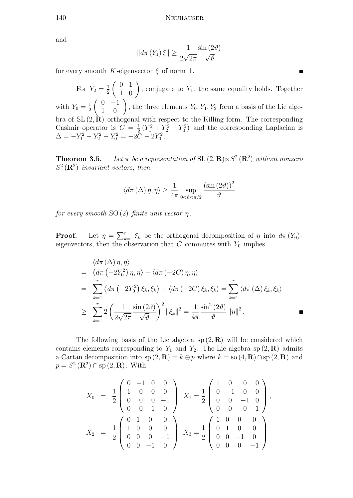and

$$
||d\pi(Y_1)\xi|| \ge \frac{1}{2\sqrt{2\pi}}\frac{\sin(2\vartheta)}{\sqrt{\vartheta}}
$$

for every smooth K-eigenvector  $\xi$  of norm 1.

For  $Y_2 = \frac{1}{2}$ 2  $\begin{pmatrix} 0 & 1 \\ 1 & 0 \end{pmatrix}$ , conjugate to  $Y_1$ , the same equality holds. Together with  $Y_0 = \frac{1}{2}$ 2  $\begin{pmatrix} 0 & -1 \\ 1 & 0 \end{pmatrix}$ , the three elements  $Y_0, Y_1, Y_2$  form a basis of the Lie algebra of  $SL(2, \mathbf{R})$  orthogonal with respect to the Killing form. The corresponding Casimir operator is  $C = \frac{1}{2}$  $\frac{1}{2}(Y_1^2 + Y_2^2 - Y_0^2)$  and the corresponding Laplacian is  $\Delta = -Y_1^2 - Y_2^2 - Y_0^2 = -2\tilde{C} - 2Y_0^2.$ 

**Theorem 3.5.** Let  $\pi$  be a representation of SL  $(2, \mathbf{R}) \ltimes S^2 (\mathbf{R}^2)$  without nonzero  $S^2(\mathbf{R}^2)$ -invariant vectors, then

$$
\left\langle d\pi\left(\Delta\right)\eta,\eta\right\rangle \geq\frac{1}{4\pi}\sup_{0<\vartheta<\pi/2}\frac{\left(\sin\left(2\vartheta\right)\right)^{2}}{\vartheta}
$$

for every smooth SO  $(2)$ -finite unit vector  $\eta$ .

**Proof.** Let  $\eta = \sum_{k=1}^r \xi_k$  be the orthogonal decomposition of  $\eta$  into  $d\pi(Y_0)$ eigenvectors, then the observation that  $C$  commutes with  $Y_0$  implies

$$
\langle d\pi (\Delta) \eta, \eta \rangle
$$
\n
$$
= \langle d\pi (-2Y_0^2) \eta, \eta \rangle + \langle d\pi (-2C) \eta, \eta \rangle
$$
\n
$$
= \sum_{k=1}^r \langle d\pi (-2Y_0^2) \xi_k, \xi_k \rangle + \langle d\pi (-2C) \xi_k, \xi_k \rangle = \sum_{k=1}^r \langle d\pi (\Delta) \xi_k, \xi_k \rangle
$$
\n
$$
\geq \sum_{k=1}^r 2 \left( \frac{1}{2\sqrt{2\pi}} \frac{\sin (2\vartheta)}{\sqrt{\vartheta}} \right)^2 ||\xi_k||^2 = \frac{1}{4\pi} \frac{\sin^2 (2\vartheta)}{\vartheta} ||\eta||^2.
$$

The following basis of the Lie algebra  $sp(2, \mathbf{R})$  will be considered which contains elements corresponding to  $Y_1$  and  $Y_2$ . The Lie algebra sp  $(2,\mathbf{R})$  admits a Cartan decomposition into  $sp(2, \mathbf{R}) = k \oplus p$  where  $k = so(4, \mathbf{R}) \cap sp(2, \mathbf{R})$  and  $p = S^2(\mathbf{R}^2) \cap \text{sp}(2, \mathbf{R})$ . With

$$
X_0 = \frac{1}{2} \begin{pmatrix} 0 & -1 & 0 & 0 \\ 1 & 0 & 0 & 0 \\ 0 & 0 & 0 & -1 \\ 0 & 0 & 1 & 0 \end{pmatrix}, X_1 = \frac{1}{2} \begin{pmatrix} 1 & 0 & 0 & 0 \\ 0 & -1 & 0 & 0 \\ 0 & 0 & -1 & 0 \\ 0 & 0 & 0 & 1 \end{pmatrix},
$$
  

$$
X_2 = \frac{1}{2} \begin{pmatrix} 0 & 1 & 0 & 0 \\ 1 & 0 & 0 & 0 \\ 0 & 0 & 0 & -1 \\ 0 & 0 & -1 & 0 \end{pmatrix}, X_3 = \frac{1}{2} \begin{pmatrix} 1 & 0 & 0 & 0 \\ 0 & 1 & 0 & 0 \\ 0 & 0 & -1 & 0 \\ 0 & 0 & 0 & -1 \end{pmatrix}.
$$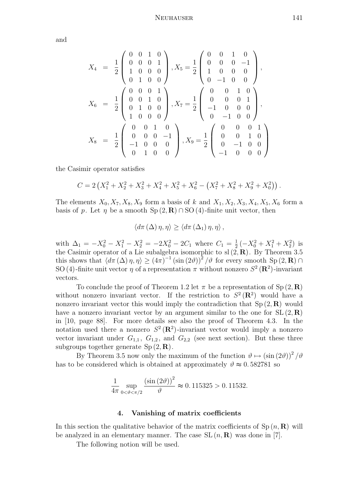and

$$
X_4 = \frac{1}{2} \begin{pmatrix} 0 & 0 & 1 & 0 \\ 0 & 0 & 0 & 1 \\ 1 & 0 & 0 & 0 \\ 0 & 1 & 0 & 0 \end{pmatrix}, X_5 = \frac{1}{2} \begin{pmatrix} 0 & 0 & 1 & 0 \\ 0 & 0 & 0 & -1 \\ 1 & 0 & 0 & 0 \\ 0 & -1 & 0 & 0 \end{pmatrix},
$$
  
\n
$$
X_6 = \frac{1}{2} \begin{pmatrix} 0 & 0 & 0 & 1 \\ 0 & 0 & 1 & 0 \\ 0 & 1 & 0 & 0 \\ 1 & 0 & 0 & 0 \end{pmatrix}, X_7 = \frac{1}{2} \begin{pmatrix} 0 & 0 & 1 & 0 \\ 0 & 0 & 0 & 1 \\ -1 & 0 & 0 & 0 \\ 0 & -1 & 0 & 0 \end{pmatrix},
$$
  
\n
$$
X_8 = \frac{1}{2} \begin{pmatrix} 0 & 0 & 1 & 0 \\ 0 & 0 & 0 & -1 \\ -1 & 0 & 0 & 0 \\ 0 & 1 & 0 & 0 \end{pmatrix}, X_9 = \frac{1}{2} \begin{pmatrix} 0 & 0 & 0 & 1 \\ 0 & 0 & 1 & 0 \\ 0 & -1 & 0 & 0 \\ -1 & 0 & 0 & 0 \end{pmatrix}
$$

the Casimir operator satisfies

$$
C = 2\left(X_1^2 + X_2^2 + X_3^2 + X_4^2 + X_5^2 + X_6^2 - \left(X_7^2 + X_8^2 + X_9^2 + X_0^2\right)\right).
$$

The elements  $X_0, X_7, X_8, X_9$  form a basis of k and  $X_1, X_2, X_3, X_4, X_5, X_6$  form a basis of p. Let  $\eta$  be a smooth  $Sp(2, \mathbf{R}) \cap SO(4)$ -finite unit vector, then

$$
\langle d\pi(\Delta)\,\eta,\eta\rangle\geq \langle d\pi(\Delta_1)\,\eta,\eta\rangle\,,
$$

with  $\Delta_1 = -X_0^2 - X_1^2 - X_2^2 = -2X_0^2 - 2C_1$  where  $C_1 = \frac{1}{2}$  $\frac{1}{2}(-X_0^2 + X_1^2 + X_2^2)$  is the Casimir operator of a Lie subalgebra isomorphic to sl $(\vec{2}, \mathbf{R})$ . By Theorem 3.5 this shows that  $\langle d\pi(\Delta)\eta,\eta\rangle \geq (4\pi)^{-1}(\sin(2\vartheta))^{\frac{1}{2}}/\vartheta$  for every smooth Sp  $(2,\mathbf{R})\cap$ SO (4)-finite unit vector  $\eta$  of a representation  $\pi$  without nonzero  $S^2(\mathbf{R}^2)$ -invariant vectors.

To conclude the proof of Theorem 1.2 let  $\pi$  be a representation of Sp  $(2,\mathbf{R})$ without nonzero invariant vector. If the restriction to  $S^2(\mathbf{R}^2)$  would have a nonzero invariant vector this would imply the contradiction that  $Sp(2, \mathbf{R})$  would have a nonzero invariant vector by an argument similar to the one for  $SL(2,\mathbf{R})$ in [10, page 88]. For more details see also the proof of Theorem 4.3. In the notation used there a nonzero  $S^2(\mathbf{R}^2)$ -invariant vector would imply a nonzero vector invariant under  $G_{1,1}$ ,  $G_{1,2}$ , and  $G_{2,2}$  (see next section). But these three subgroups together generate  $Sp(2,\mathbf{R})$ .

By Theorem 3.5 now only the maximum of the function  $\vartheta \mapsto (\sin(2\vartheta))^2/\vartheta$ has to be considered which is obtained at approximately  $\vartheta \approx 0.582781$  so

$$
\frac{1}{4\pi} \sup_{0 < \vartheta < \pi/2} \frac{\left(\sin\left(2\vartheta\right)\right)^2}{\vartheta} \approx 0.115325 > 0.11532.
$$

## 4. Vanishing of matrix coefficients

In this section the qualitative behavior of the matrix coefficients of  $\text{Sp}(n, \mathbf{R})$  will be analyzed in an elementary manner. The case  $SL(n, \mathbf{R})$  was done in [7].

The following notion will be used.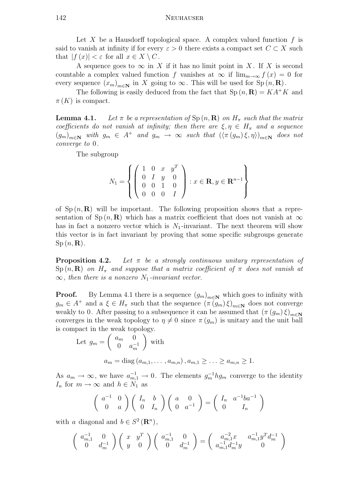Let X be a Hausdorff topological space. A complex valued function  $f$  is said to vanish at infinity if for every  $\varepsilon > 0$  there exists a compact set  $C \subset X$  such that  $|f(x)| < \varepsilon$  for all  $x \in X \setminus C$ .

A sequence goes to  $\infty$  in X if it has no limit point in X. If X is second countable a complex valued function f vanishes at  $\infty$  if  $\lim_{m\to\infty} f(x) = 0$  for every sequence  $(x_m)_{m\in\mathbb{N}}$  in X going to  $\infty$ . This will be used for Sp  $(n, \mathbb{R})$ .

The following is easily deduced from the fact that  $Sp(n, \mathbf{R}) = KA^+K$  and  $\pi(K)$  is compact.

**Lemma 4.1.** Let  $\pi$  be a representation of  $\text{Sp}(n,\mathbf{R})$  on  $H_{\pi}$  such that the matrix coefficients do not vanish at infinity; then there are  $\xi, \eta \in H_{\pi}$  and a sequence  $(g_m)_{m\in\mathbb{N}}$  with  $g_m \in A^+$  and  $g_m \to \infty$  such that  $(\langle \pi(g_m)\xi, \eta \rangle)_{m\in\mathbb{N}}$  does not converge to 0.

The subgroup

$$
N_1 = \left\{ \left( \begin{array}{cccc} 1 & 0 & x & y^T \\ 0 & I & y & 0 \\ 0 & 0 & 1 & 0 \\ 0 & 0 & 0 & I \end{array} \right) : x \in \mathbf{R}, y \in \mathbf{R}^{n-1} \right\}
$$

of  $Sp(n, R)$  will be important. The following proposition shows that a representation of Sp  $(n, \mathbf{R})$  which has a matrix coefficient that does not vanish at  $\infty$ has in fact a nonzero vector which is  $N_1$ -invariant. The next theorem will show this vector is in fact invariant by proving that some specific subgroups generate  $Sp(n,\mathbf{R})$ .

**Proposition 4.2.** Let  $\pi$  be a strongly continuous unitary representation of  $\text{Sp}(n,\mathbf{R})$  on  $H_{\pi}$  and suppose that a matrix coefficient of  $\pi$  does not vanish at  $\infty$ , then there is a nonzero  $N_1$ -invariant vector.

**Proof.** By Lemma 4.1 there is a sequence  $(g_m)_{m\in\mathbb{N}}$  which goes to infinity with  $g_m \in A^+$  and  $a \xi \in H_\pi$  such that the sequence  $(\pi(g_m)\xi)_{m\in\mathbb{N}}$  does not converge weakly to 0. After passing to a subsequence it can be assumed that  $(\pi (g_m)\xi)_{m\in\mathbb{N}}$ converges in the weak topology to  $\eta \neq 0$  since  $\pi(g_m)$  is unitary and the unit ball is compact in the weak topology.

Let 
$$
g_m = \begin{pmatrix} a_m & 0 \\ 0 & a_m^{-1} \end{pmatrix}
$$
 with  

$$
a_m = \text{diag}(a_{m,1}, \dots, a_{m,n}), a_{m,1} \geq \dots \geq a_{m,n} \geq 1.
$$

As  $a_m \to \infty$ , we have  $a_{m,1}^{-1} \to 0$ . The elements  $g_m^{-1} h g_m$  converge to the identity  $I_n$  for  $m \to \infty$  and  $h \in N_1$  as

$$
\left(\begin{array}{cc} a^{-1} & 0 \\ 0 & a \end{array}\right) \left(\begin{array}{cc} I_n & b \\ 0 & I_n \end{array}\right) \left(\begin{array}{cc} a & 0 \\ 0 & a^{-1} \end{array}\right) = \left(\begin{array}{cc} I_n & a^{-1}ba^{-1} \\ 0 & I_n \end{array}\right)
$$

with a diagonal and  $b \in S^2(\mathbf{R}^n)$ ,

$$
\begin{pmatrix} a_{m,1}^{-1} & 0 \\ 0 & d_m^{-1} \end{pmatrix} \begin{pmatrix} x & y^T \\ y & 0 \end{pmatrix} \begin{pmatrix} a_{m,1}^{-1} & 0 \\ 0 & d_m^{-1} \end{pmatrix} = \begin{pmatrix} a_{m,1}^{-2}x & a_{m,1}^{-1}y^Td_m^{-1} \\ a_{m,1}^{-1}d_m^{-1}y & 0 \end{pmatrix}
$$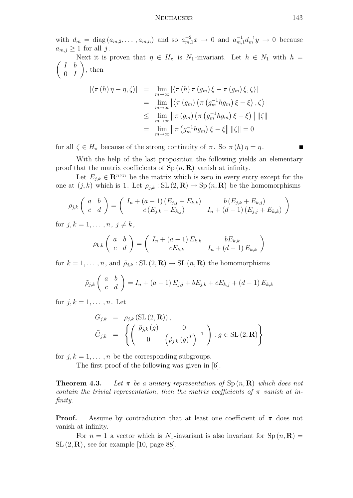### NEUHAUSER 143

with  $d_m = \text{diag}(a_{m,2}, \ldots, a_{m,n})$  and so  $a_{m,1}^{-2}x \to 0$  and  $a_{m,1}^{-1}d_m^{-1}y \to 0$  because  $a_{m,j} \geq 1$  for all j.

 $\begin{pmatrix} I & b \end{pmatrix}$ Next it is proven that  $\eta \in H_{\pi}$  is N<sub>1</sub>-invariant. Let  $h \in N_1$  with  $h =$  $0$  *I*  $\Big)$ , then

$$
\begin{aligned}\n\left| \langle \pi(h)\,\eta - \eta, \zeta \rangle \right| &= \lim_{m \to \infty} \left| \langle \pi(h)\,\pi(g_m)\,\xi - \pi(g_m)\,\xi, \zeta \rangle \right| \\
&= \lim_{m \to \infty} \left| \langle \pi(g_m)\,\left( \pi\,(g_m^{-1}hg_m)\,\xi - \xi \right), \zeta \rangle \right| \\
&\leq \lim_{m \to \infty} \left\| \pi\,(g_m)\,\left( \pi\,(g_m^{-1}hg_m)\,\xi - \xi \right) \right\| \left\| \zeta \right\| \\
&= \lim_{m \to \infty} \left\| \pi\,(g_m^{-1}hg_m)\,\xi - \xi \right\| \left\| \zeta \right\| = 0\n\end{aligned}
$$

for all  $\zeta \in H_\pi$  because of the strong continuity of  $\pi$ . So  $\pi(h)\eta = \eta$ .

With the help of the last proposition the following yields an elementary proof that the matrix coefficients of  $Sp(n, R)$  vanish at infinity.

Let  $E_{i,k} \in \mathbf{R}^{n \times n}$  be the matrix which is zero in every entry except for the one at  $(j, k)$  which is 1. Let  $\rho_{j,k} : SL(2, \mathbf{R}) \to Sp(n, \mathbf{R})$  be the homomorphisms

$$
\rho_{j,k}\left(\begin{array}{cc} a & b \\ c & d \end{array}\right) = \left(\begin{array}{cc} I_n + (a-1)\left(E_{j,j} + E_{k,k}\right) & b\left(E_{j,k} + E_{k,j}\right) \\ c\left(E_{j,k} + E_{k,j}\right) & I_n + (d-1)\left(E_{j,j} + E_{k,k}\right) \end{array}\right)
$$

for  $i, k = 1, \ldots, n, i \neq k$ ,

$$
\rho_{k,k}\left(\begin{array}{cc} a & b \\ c & d \end{array}\right) = \left(\begin{array}{cc} I_n + (a-1) E_{k,k} & bE_{k,k} \\ cE_{k,k} & I_n + (d-1) E_{k,k} \end{array}\right)
$$

for  $k = 1, ..., n$ , and  $\tilde{\rho}_{i,k} : SL(2, \mathbf{R}) \to SL(n, \mathbf{R})$  the homomorphisms

$$
\tilde{\rho}_{j,k} \left( \begin{array}{cc} a & b \\ c & d \end{array} \right) = I_n + (a-1) E_{j,j} + b E_{j,k} + c E_{k,j} + (d-1) E_{k,k}
$$

for  $j, k = 1, \ldots, n$ . Let

$$
G_{j,k} = \rho_{j,k} (\text{SL}(2,\mathbf{R})),
$$
  
\n
$$
\tilde{G}_{j,k} = \left\{ \begin{pmatrix} \tilde{\rho}_{j,k}(g) & 0 \\ 0 & \left( \tilde{\rho}_{j,k}(g)^T \right)^{-1} \end{pmatrix} : g \in \text{SL}(2,\mathbf{R}) \right\}
$$

for  $j, k = 1, \ldots, n$  be the corresponding subgroups.

The first proof of the following was given in [6].

**Theorem 4.3.** Let  $\pi$  be a unitary representation of  $\text{Sp}(n, \mathbf{R})$  which does not contain the trivial representation, then the matrix coefficients of  $\pi$  vanish at infinity.

**Proof.** Assume by contradiction that at least one coefficient of  $\pi$  does not vanish at infinity.

For  $n = 1$  a vector which is  $N_1$ -invariant is also invariant for  $Sp(n, \mathbf{R}) =$  $SL(2,\mathbf{R})$ , see for example [10, page 88].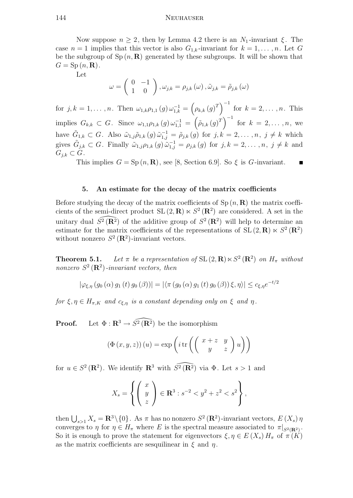#### 144 Neuhauser

Now suppose  $n \geq 2$ , then by Lemma 4.2 there is an  $N_1$ -invariant  $\xi$ . The case  $n = 1$  implies that this vector is also  $G_{1,k}$ -invariant for  $k = 1, \ldots, n$ . Let G be the subgroup of  $Sp(n, R)$  generated by these subgroups. It will be shown that  $G = Sp(n, \mathbf{R}).$ 

Let

$$
\omega = \begin{pmatrix} 0 & -1 \\ 1 & 0 \end{pmatrix}, \omega_{j,k} = \rho_{j,k}(\omega), \tilde{\omega}_{j,k} = \tilde{\rho}_{j,k}(\omega)
$$

for  $j, k = 1, ..., n$ . Then  $\omega_{1,k}\rho_{1,1}(g)\omega_{1,k}^{-1} = (\rho_{k,k}(g)^T)^{-1}$  for  $k = 2, ..., n$ . This implies  $G_{k,k} \subset G$ . Since  $\omega_{1,1}\rho_{1,k}(g) \omega_{1,1}^{-1} = (\tilde{\rho}_{1,k}(g)^T)^{-1}$  for  $k = 2, ..., n$ , we have  $\tilde{G}_{1,k} \subset G$ . Also  $\tilde{\omega}_{1,j}\tilde{\rho}_{1,k}(g)\tilde{\omega}_{1,j}^{-1} = \tilde{\rho}_{j,k}(g)$  for  $j,k = 2,\ldots,n, j \neq k$  which gives  $\tilde{G}_{j,k} \subset G$ . Finally  $\tilde{\omega}_{1,j} \rho_{1,k}(g) \tilde{\omega}_{1,j}^{-1} = \rho_{j,k}(g)$  for  $j,k = 2,\ldots,n, j \neq k$  and  $G_{i,k} \subset G$ .

This implies  $G = Sp(n, \mathbf{R})$ , see [8, Section 6.9]. So  $\xi$  is G-invariant.

## 5. An estimate for the decay of the matrix coefficients

Before studying the decay of the matrix coefficients of  $Sp(n, R)$  the matrix coefficients of the semi-direct product  $SL(2, \mathbf{R}) \ltimes S^2(\mathbf{R}^2)$  are considered. A set in the unitary dual  $\widehat{S^2(\mathbf{R}^2)}$  of the additive group of  $S^2(\mathbf{R}^2)$  will help to determine an estimate for the matrix coefficients of the representations of  $SL(2,\mathbf{R}) \ltimes S^2(\mathbf{R}^2)$ without nonzero  $S^2(\mathbf{R}^2)$ -invariant vectors.

**Theorem 5.1.** Let  $\pi$  be a representation of SL  $(2, \mathbf{R}) \ltimes S^2 (\mathbf{R}^2)$  on  $H_{\pi}$  without nonzero  $S^2(\mathbf{R}^2)$ -invariant vectors, then

$$
|\varphi_{\xi,\eta}\left(g_0\left(\alpha\right)g_1\left(t\right)g_0\left(\beta\right)\right)| = |\langle \pi\left(g_0\left(\alpha\right)g_1\left(t\right)g_0\left(\beta\right)\right)\xi,\eta\rangle| \leq c_{\xi,\eta}e^{-t/2}
$$

for  $\xi, \eta \in H_{\pi,K}$  and  $c_{\xi,\eta}$  is a constant depending only on  $\xi$  and  $\eta$ .

**Proof.** Let  $\Phi$  :  $\mathbb{R}^3 \to \widehat{S^2(\mathbb{R}^2)}$  be the isomorphism

$$
(\Phi(x, y, z)) (u) = \exp\left(i \operatorname{tr}\left(\begin{pmatrix} x + z & y \ y & z \end{pmatrix} u\right)\right)
$$

for  $u \in S^2(\mathbf{R}^2)$ . We identify  $\mathbf{R}^3$  with  $\widehat{S^2(\mathbf{R}^2)}$  via  $\Phi$ . Let  $s > 1$  and

$$
X_s = \left\{ \begin{pmatrix} x \\ y \\ z \end{pmatrix} \in \mathbf{R}^3 : s^{-2} < y^2 + z^2 < s^2 \right\},\,
$$

then  $\bigcup_{s>1} X_s = \mathbf{R}^3 \setminus \{0\}$ . As  $\pi$  has no nonzero  $S^2(\mathbf{R}^2)$ -invariant vectors,  $E(X_s)$   $\eta$ converges to  $\eta$  for  $\eta \in H_{\pi}$  where E is the spectral measure associated to  $\pi|_{S^2(\mathbf{R}^2)}$ . So it is enough to prove the statement for eigenvectors  $\xi, \eta \in E(X_s)$  H<sub>π</sub> of  $\pi(K)$ as the matrix coefficients are sesquilinear in  $\xi$  and  $\eta$ .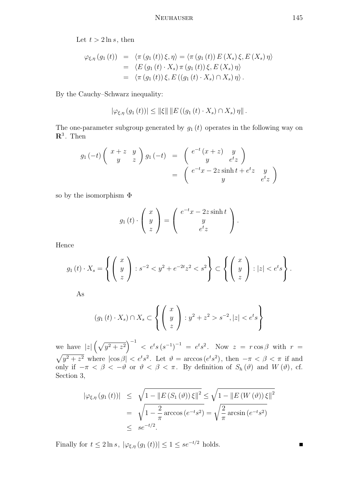Let  $t > 2 \ln s$ , then

$$
\varphi_{\xi,\eta}(g_1(t)) = \langle \pi(g_1(t))\xi, \eta \rangle = \langle \pi(g_1(t))E(X_s)\xi, E(X_s)\eta \rangle
$$
  
= 
$$
\langle E(g_1(t) \cdot X_s) \pi(g_1(t))\xi, E(X_s)\eta \rangle
$$
  
= 
$$
\langle \pi(g_1(t))\xi, E((g_1(t) \cdot X_s) \cap X_s)\eta \rangle.
$$

By the Cauchy–Schwarz inequality:

$$
|\varphi_{\xi,\eta} (g_1(t))| \leq ||\xi|| \, ||E((g_1(t) \cdot X_s) \cap X_s) \eta||.
$$

The one-parameter subgroup generated by  $g_1(t)$  operates in the following way on  $\mathbf{R}^3$ . Then

$$
g_1(-t)\begin{pmatrix} x+z & y \ y & z \end{pmatrix} g_1(-t) = \begin{pmatrix} e^{-t}(x+z) & y \ y & e^{t}z \end{pmatrix}
$$
  
= 
$$
\begin{pmatrix} e^{-t}x - 2z\sinh t + e^{t}z & y \ y & e^{t}z \end{pmatrix}
$$

so by the isomorphism Φ

$$
g_1(t) \cdot \left(\begin{array}{c} x \\ y \\ z \end{array}\right) = \left(\begin{array}{c} e^{-t}x - 2z\sinh t \\ y \\ e^t z \end{array}\right).
$$

Hence

$$
g_1(t) \cdot X_s = \left\{ \begin{pmatrix} x \\ y \\ z \end{pmatrix} : s^{-2} < y^2 + e^{-2t} z^2 < s^2 \right\} \subset \left\{ \begin{pmatrix} x \\ y \\ z \end{pmatrix} : |z| < e^t s \right\}.
$$

As

$$
(g_1(t) \cdot X_s) \cap X_s \subset \left\{ \begin{pmatrix} x \\ y \\ z \end{pmatrix} : y^2 + z^2 > s^{-2}, |z| < e^t s \right\}
$$

we have  $|z|(\sqrt{y^2+z^2})^{-1} < e^{t}s(s^{-1})^{-1} = e^{t}s^2$ . Now  $z = r \cos \beta$  with  $r =$  $\sqrt{y^2 + z^2}$  where  $|\cos \beta| < e^{t} s^2$ . Let  $\vartheta = \arccos(e^{t} s^2)$ , then  $-\pi < \beta < \pi$  if and only if  $-\pi < \beta < -\vartheta$  or  $\vartheta < \beta < \pi$ . By definition of  $S_h(\vartheta)$  and  $W(\vartheta)$ , cf. Section 3,

$$
\begin{array}{rcl} |\varphi_{\xi,\eta} (g_1(t))| & \leq & \sqrt{1 - \|E\left(S_1\left(\vartheta\right)\right)\xi\|^2} \leq \sqrt{1 - \|E\left(W\left(\vartheta\right)\right)\xi\|^2} \\ & = & \sqrt{1 - \frac{2}{\pi} \arccos\left(e^{-t}s^2\right)} = \sqrt{\frac{2}{\pi} \arcsin\left(e^{-t}s^2\right)} \\ & \leq & s e^{-t/2} .\end{array}
$$

Finally for  $t \leq 2 \ln s$ ,  $|\varphi_{\xi,\eta}(g_1(t))| \leq 1 \leq se^{-t/2}$  holds.

П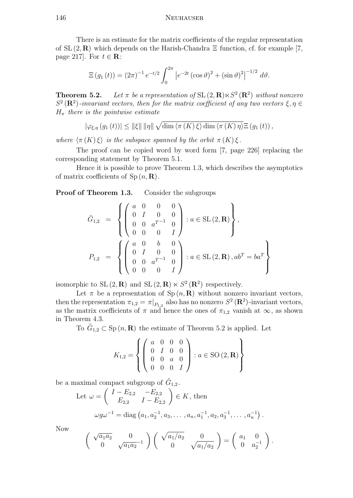There is an estimate for the matrix coefficients of the regular representation of  $SL(2,\mathbf{R})$  which depends on the Harish-Chandra  $\Xi$  function, cf. for example [7, page 217]. For  $t \in \mathbf{R}$ :

$$
\Xi(g_1(t)) = (2\pi)^{-1} e^{-t/2} \int_0^{2\pi} \left| e^{-2t} (\cos \vartheta)^2 + (\sin \vartheta)^2 \right|^{-1/2} d\vartheta.
$$

**Theorem 5.2.** Let  $\pi$  be a representation of SL  $(2, \mathbf{R}) \ltimes S^2 (\mathbf{R}^2)$  without nonzero  $S^2(\mathbf{R}^2)$ -invariant vectors, then for the matrix coefficient of any two vectors  $\xi, \eta \in$  $H_{\pi}$  there is the pointwise estimate

$$
|\varphi_{\xi,\eta}(g_1(t))| \leq ||\xi|| \, ||\eta|| \, \sqrt{\dim \langle \pi(K) \, \xi \rangle \dim \langle \pi(K) \, \eta \rangle} \Xi(g_1(t)),
$$

where  $\langle \pi(K) \xi \rangle$  is the subspace spanned by the orbit  $\pi(K) \xi$ .

The proof can be copied word by word form [7, page 226] replacing the corresponding statement by Theorem 5.1.

Hence it is possible to prove Theorem 1.3, which describes the asymptotics of matrix coefficients of  $Sp(n, \mathbf{R})$ .

Proof of Theorem 1.3. Consider the subgroups

$$
\tilde{G}_{1,2} = \left\{ \begin{pmatrix} a & 0 & 0 & 0 \\ 0 & I & 0 & 0 \\ 0 & 0 & a^{T-1} & 0 \\ 0 & 0 & 0 & I \end{pmatrix} : a \in SL(2, \mathbf{R}) \right\},
$$
  
\n
$$
P_{1,2} = \left\{ \begin{pmatrix} a & 0 & b & 0 \\ 0 & I & 0 & 0 \\ 0 & 0 & a^{T-1} & 0 \\ 0 & 0 & 0 & I \end{pmatrix} : a \in SL(2, \mathbf{R}), ab^{T} = ba^{T} \right\}
$$

isomorphic to  $SL(2, \mathbf{R})$  and  $SL(2, \mathbf{R}) \ltimes S^2(\mathbf{R}^2)$  respectively.

Let  $\pi$  be a representation of Sp  $(n, \mathbf{R})$  without nonzero invariant vectors, then the representation  $\pi_{1,2} = \pi|_{P_{1,2}}$  also has no nonzero  $S^2(\mathbf{R}^2)$ -invariant vectors, as the matrix coefficients of  $\pi$  and hence the ones of  $\pi_{1,2}$  vanish at  $\infty$ , as shown in Theorem 4.3.

To  $\tilde{G}_{1,2} \subset \mathrm{Sp}(n,\mathbf{R})$  the estimate of Theorem 5.2 is applied. Let

$$
K_{1,2} = \left\{ \left( \begin{array}{cccc} a & 0 & 0 & 0 \\ 0 & I & 0 & 0 \\ 0 & 0 & a & 0 \\ 0 & 0 & 0 & I \end{array} \right) : a \in SO(2, \mathbf{R}) \right\}
$$

be a maximal compact subgroup of  $\tilde{G}_{1,2}$ .

Let 
$$
\omega = \begin{pmatrix} I - E_{2,2} & -E_{2,2} \ E_{2,2} & I - E_{2,2} \end{pmatrix} \in K
$$
, then  
\n
$$
\omega g \omega^{-1} = \text{diag} (a_1, a_2^{-1}, a_3, \dots, a_n, a_1^{-1}, a_2, a_3^{-1}, \dots, a_n^{-1}).
$$

Now

$$
\begin{pmatrix}\n\sqrt{a_1 a_2} & 0 \\
0 & \sqrt{a_1 a_2} \n\end{pmatrix}\n\begin{pmatrix}\n\sqrt{a_1/a_2} & 0 \\
0 & \sqrt{a_1/a_2}\n\end{pmatrix} = \begin{pmatrix}\na_1 & 0 \\
0 & a_2^{-1}\n\end{pmatrix}.
$$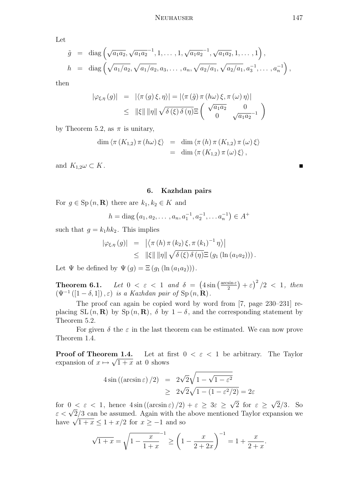Let

$$
\tilde{g} = \text{diag}\left(\sqrt{a_1 a_2}, \sqrt{a_1 a_2}^{-1}, 1, \dots, 1, \sqrt{a_1 a_2}^{-1}, \sqrt{a_1 a_2}, 1, \dots, 1\right),
$$
  
\n
$$
h = \text{diag}\left(\sqrt{a_1/a_2}, \sqrt{a_1/a_2}, a_3, \dots, a_n, \sqrt{a_2/a_1}, \sqrt{a_2/a_1}, a_3^{-1}, \dots, a_n^{-1}\right),
$$

then

$$
|\varphi_{\xi,\eta}(g)| = |\langle \pi(g)\xi,\eta\rangle| = |\langle \pi(\tilde{g})\pi(h\omega)\xi,\pi(\omega)\eta\rangle|
$$
  

$$
\leq ||\xi|| \, ||\eta|| \sqrt{\delta(\xi)\delta(\eta)} \Xi\left(\begin{array}{cc} \sqrt{a_1 a_2} & 0 \\ 0 & \sqrt{a_1 a_2}^{-1} \end{array}\right)
$$

by Theorem 5.2, as  $\pi$  is unitary,

$$
\dim \langle \pi (K_{1,2}) \pi (h\omega) \xi \rangle = \dim \langle \pi (h) \pi (K_{1,2}) \pi (\omega) \xi \rangle
$$
  
= 
$$
\dim \langle \pi (K_{1,2}) \pi (\omega) \xi \rangle,
$$

and  $K_{1,2}\omega \subset K$ .

## 6. Kazhdan pairs

For  $g \in \mathrm{Sp}(n,\mathbf{R})$  there are  $k_1, k_2 \in K$  and

$$
h = \text{diag}(a_1, a_2, \dots, a_n, a_1^{-1}, a_2^{-1}, \dots, a_n^{-1}) \in A^+
$$

such that  $g = k_1 h k_2$ . This implies

$$
\begin{array}{rcl} |\varphi_{\xi,\eta}(g)| & = & \left| \left\langle \pi\left(h\right) \pi\left(k_2\right) \xi, \pi\left(k_1\right)^{-1} \eta \right\rangle \right| \\ & \leq & \left\| \xi \right\| \left\| \eta \right\| \sqrt{\delta\left(\xi\right) \delta\left(\eta\right)} \Xi\left(g_1\left(\ln\left(a_1 a_2\right)\right)\right). \end{array}
$$

Let  $\Psi$  be defined by  $\Psi(g) = \Xi(g_1(\ln (a_1a_2)))$ .

**Theorem 6.1.** Let  $0 < \varepsilon < 1$  and  $\delta = (4 \sin \left( \frac{\arcsin \varepsilon}{2} \right))$  $\frac{\sin \varepsilon}{2}$  +  $\varepsilon$ )<sup>2</sup>/2 < 1, then  $(\Psi^{-1}([1-\delta,1]),\varepsilon)$  is a Kazhdan pair of Sp $(n,\mathbf{R})$ .

The proof can again be copied word by word from [7, page 230–231] replacing SL  $(n, \mathbf{R})$  by Sp  $(n, \mathbf{R})$ ,  $\delta$  by  $1 - \delta$ , and the corresponding statement by Theorem 5.2.

For given  $\delta$  the  $\varepsilon$  in the last theorem can be estimated. We can now prove Theorem 1.4.

Let at first  $0 < \varepsilon < 1$  be arbitrary. The Taylor expansion of  $x \mapsto \sqrt{1+x}$  at 0 shows Proof of Theorem 1.4.

$$
4\sin\left(\left(\arcsin \varepsilon\right)/2\right) = 2\sqrt{2}\sqrt{1-\sqrt{1-\varepsilon^2}}
$$

$$
\geq 2\sqrt{2}\sqrt{1-(1-\varepsilon^2/2)} = 2\varepsilon
$$

for  $0 < \varepsilon < 1$ , hence  $4\sin((\arcsin \varepsilon)/2) + \varepsilon \geq 3\varepsilon$ 2 for  $\varepsilon \geq$ 2/3. So for  $0 < \varepsilon < 1$ , hence  $4 \sin((\arcsin \varepsilon)/2) + \varepsilon \geq 3\varepsilon \geq \sqrt{2}$  for  $\varepsilon \geq \sqrt{2}/3$ . So  $\varepsilon < \sqrt{2}/3$  can be assumed. Again with the above mentioned Taylor expansion we  $\varepsilon < \sqrt{2/3}$  can be assumed. Again with the<br>have  $\sqrt{1+x} \le 1 + x/2$  for  $x \ge -1$  and so

$$
\sqrt{1+x} = \sqrt{1 - \frac{x}{1+x}}^{-1} \ge \left(1 - \frac{x}{2+2x}\right)^{-1} = 1 + \frac{x}{2+x}.
$$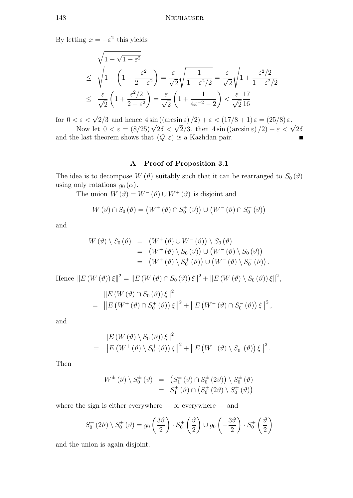By letting  $x = -\varepsilon^2$  this yields

$$
\sqrt{1 - \sqrt{1 - \varepsilon^2}}
$$
\n
$$
\leq \sqrt{1 - \left(1 - \frac{\varepsilon^2}{2 - \varepsilon^2}\right)} = \frac{\varepsilon}{\sqrt{2}} \sqrt{\frac{1}{1 - \varepsilon^2/2}} = \frac{\varepsilon}{\sqrt{2}} \sqrt{1 + \frac{\varepsilon^2/2}{1 - \varepsilon^2/2}}
$$
\n
$$
\leq \frac{\varepsilon}{\sqrt{2}} \left(1 + \frac{\varepsilon^2/2}{2 - \varepsilon^2}\right) = \frac{\varepsilon}{\sqrt{2}} \left(1 + \frac{1}{4\varepsilon^{-2} - 2}\right) < \frac{\varepsilon}{\sqrt{2}} \frac{17}{16}
$$

for  $0 < \varepsilon < \sqrt{2}/3$  and hence  $4 \sin((\arcsin \varepsilon)/2) + \varepsilon < (17/8 + 1) \varepsilon = (25/8) \varepsilon$ .<br>Now let  $0 < \varepsilon = (8/25) \sqrt{2\delta} < \sqrt{2}/3$ , then  $4 \sin((\arcsin \varepsilon)/2) + \varepsilon < \sqrt{2}\delta$ 

and the last theorem shows that  $(Q, \varepsilon)$  is a Kazhdan pair.

## A Proof of Proposition 3.1

The idea is to decompose  $W(\vartheta)$  suitably such that it can be rearranged to  $S_0(\vartheta)$ using only rotations  $g_0(\alpha)$ .

The union  $W(\vartheta) = W^-(\vartheta) \cup W^+(\vartheta)$  is disjoint and

$$
W(\vartheta) \cap S_0(\vartheta) = (W^+(\vartheta) \cap S_0^+(\vartheta)) \cup (W^-(\vartheta) \cap S_0^-(\vartheta))
$$

and

$$
W(\vartheta) \setminus S_0(\vartheta) = (W^+(\vartheta) \cup W^-(\vartheta)) \setminus S_0(\vartheta)
$$
  
= 
$$
(W^+(\vartheta) \setminus S_0(\vartheta)) \cup (W^-(\vartheta) \setminus S_0(\vartheta))
$$
  
= 
$$
(W^+(\vartheta) \setminus S_0^+(\vartheta)) \cup (W^-(\vartheta) \setminus S_0^-(\vartheta)).
$$

Hence  $||E(W(\vartheta))\xi||^2 = ||E(W(\vartheta) \cap S_0(\vartheta))\xi||^2 + ||E(W(\vartheta) \setminus S_0(\vartheta))\xi||^2$ ,

$$
\begin{aligned}\n&\|E\left(W\left(\vartheta\right)\cap S_{0}\left(\vartheta\right)\right)\xi\|^{2} \\
&= \left\|E\left(W^{+}\left(\vartheta\right)\cap S_{0}^{+}\left(\vartheta\right)\right)\xi\right\|^{2} + \left\|E\left(W^{-}\left(\vartheta\right)\cap S_{0}^{-}\left(\vartheta\right)\right)\xi\right\|^{2},\n\end{aligned}
$$

and

$$
\|E(W(\vartheta) \setminus S_0(\vartheta))\,\xi\|^2 = \left\|E(W^+(\vartheta) \setminus S_0^+(\vartheta))\,\xi\right\|^2 + \left\|E(W^-(\vartheta) \setminus S_0^-(\vartheta))\,\xi\right\|^2.
$$

Then

$$
W^{\pm}(\vartheta) \setminus S_0^{\pm}(\vartheta) = (S_1^{\pm}(\vartheta) \cap S_0^{\pm}(2\vartheta)) \setminus S_0^{\pm}(\vartheta)
$$
  
=  $S_1^{\pm}(\vartheta) \cap (S_0^{\pm}(2\vartheta) \setminus S_0^{\pm}(\vartheta))$ 

where the sign is either everywhere  $+$  or everywhere  $-$  and

$$
S_0^{\pm}(2\vartheta) \setminus S_0^{\pm}(\vartheta) = g_0\left(\frac{3\vartheta}{2}\right) \cdot S_0^{\pm}\left(\frac{\vartheta}{2}\right) \cup g_0\left(-\frac{3\vartheta}{2}\right) \cdot S_0^{\pm}\left(\frac{\vartheta}{2}\right)
$$

and the union is again disjoint.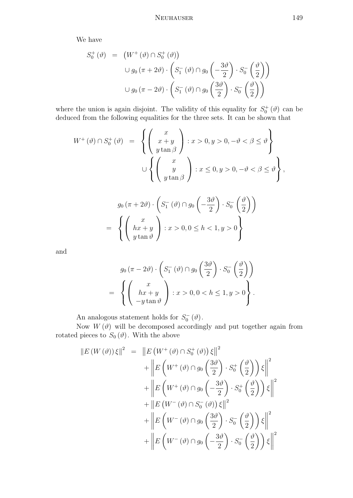We have

$$
S_0^+ (\vartheta) = (W^+ (\vartheta) \cap S_0^+ (\vartheta))
$$
  

$$
\cup g_0 (\pi + 2\vartheta) \cdot \left( S_1^- (\vartheta) \cap g_0 \left( -\frac{3\vartheta}{2} \right) \cdot S_0^- \left( \frac{\vartheta}{2} \right) \right)
$$
  

$$
\cup g_0 (\pi - 2\vartheta) \cdot \left( S_1^- (\vartheta) \cap g_0 \left( \frac{3\vartheta}{2} \right) \cdot S_0^- \left( \frac{\vartheta}{2} \right) \right)
$$

where the union is again disjoint. The validity of this equality for  $S_0^+(\theta)$  can be deduced from the following equalities for the three sets. It can be shown that

$$
W^{+}(\vartheta) \cap S_{0}^{+}(\vartheta) = \left\{ \begin{pmatrix} x \\ x+y \\ y\tan\beta \end{pmatrix} : x > 0, y > 0, -\vartheta < \beta \leq \vartheta \right\}
$$
  

$$
\cup \left\{ \begin{pmatrix} x \\ y \\ y\tan\beta \end{pmatrix} : x \leq 0, y > 0, -\vartheta < \beta \leq \vartheta \right\},\
$$

$$
g_0(\pi + 2\vartheta) \cdot \left( S_1^-(\vartheta) \cap g_0\left(-\frac{3\vartheta}{2}\right) \cdot S_0^-\left(\frac{\vartheta}{2}\right) \right)
$$
  
= 
$$
\left\{ \left( \begin{array}{c} x \\ hx + y \\ y \tan \vartheta \end{array} \right) : x > 0, 0 \le h < 1, y > 0 \right\}
$$

and

$$
g_0(\pi - 2\vartheta) \cdot \left( S_1^-(\vartheta) \cap g_0\left(\frac{3\vartheta}{2}\right) \cdot S_0^-\left(\frac{\vartheta}{2}\right) \right)
$$
  
= 
$$
\left\{ \left( \begin{array}{c} x \\ hx + y \\ -y \tan \vartheta \end{array} \right) : x > 0, 0 < h \le 1, y > 0 \right\}.
$$

An analogous statement holds for  $S_0^ \int_{0}^{\cdot\cdot}(\vartheta).$ 

Now  $W(\vartheta)$  will be decomposed accordingly and put together again from rotated pieces to  $S_0(\vartheta)$ . With the above

$$
||E(W(\vartheta))\xi||^{2} = ||E(W^{+}(\vartheta) \cap S_{0}^{+}(\vartheta))\xi||^{2} + \left||E(W^{+}(\vartheta) \cap g_{0}(\frac{3\vartheta}{2}) \cdot S_{0}^{+}(\frac{\vartheta}{2}))\xi||^{2} + \left||E(W^{+}(\vartheta) \cap g_{0}(-\frac{3\vartheta}{2}) \cdot S_{0}^{+}(\frac{\vartheta}{2}))\xi||^{2} + ||E(W^{-}(\vartheta) \cap S_{0}^{-}(\vartheta))\xi||^{2} + \left||E(W^{-}(\vartheta) \cap g_{0}(\frac{3\vartheta}{2}) \cdot S_{0}^{-}(\frac{\vartheta}{2}))\xi||^{2} + \left||E(W^{-}(\vartheta) \cap g_{0}(-\frac{3\vartheta}{2}) \cdot S_{0}^{-}(\frac{\vartheta}{2}))\xi||^{2} \right||^{2}
$$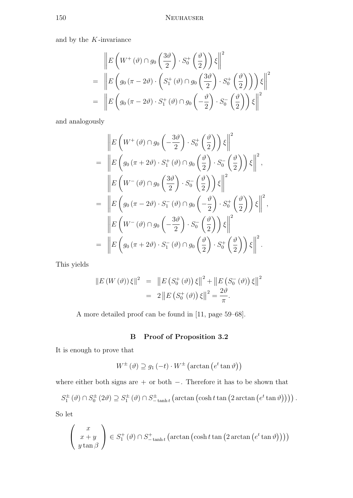and by the  $K\mbox{-}\mathrm{invariance}$ 

$$
\begin{aligned}\n&\left\| E\left(W^+(\vartheta) \cap g_0\left(\frac{3\vartheta}{2}\right) \cdot S_0^+\left(\frac{\vartheta}{2}\right)\right) \xi \right\|^2 \\
&= \left\| E\left(g_0\left(\pi - 2\vartheta\right) \cdot \left(S_1^+(\vartheta) \cap g_0\left(\frac{3\vartheta}{2}\right) \cdot S_0^+\left(\frac{\vartheta}{2}\right)\right)\right) \xi \right\|^2 \\
&= \left\| E\left(g_0\left(\pi - 2\vartheta\right) \cdot S_1^+\left(\vartheta\right) \cap g_0\left(-\frac{\vartheta}{2}\right) \cdot S_0^-\left(\frac{\vartheta}{2}\right)\right) \xi \right\|^2\n\end{aligned}
$$

and analogously

$$
\begin{split}\n&= \left\| E\left(W^+(\vartheta) \cap g_0\left(-\frac{3\vartheta}{2}\right) \cdot S_0^+\left(\frac{\vartheta}{2}\right)\right) \xi \right\|^2 \\
&= \left\| E\left(g_0\left(\pi + 2\vartheta\right) \cdot S_1^+\left(\vartheta\right) \cap g_0\left(\frac{\vartheta}{2}\right) \cdot S_0^-\left(\frac{\vartheta}{2}\right)\right) \xi \right\|^2, \\
&= \left\| E\left(W^-(\vartheta) \cap g_0\left(\frac{3\vartheta}{2}\right) \cdot S_0^-\left(\frac{\vartheta}{2}\right)\right) \xi \right\|^2 \\
&= \left\| E\left(g_0\left(\pi - 2\vartheta\right) \cdot S_1^-\left(\vartheta\right) \cap g_0\left(-\frac{\vartheta}{2}\right) \cdot S_0^+\left(\frac{\vartheta}{2}\right)\right) \xi \right\|^2, \\
&= \left\| E\left(W^-(\vartheta) \cap g_0\left(-\frac{3\vartheta}{2}\right) \cdot S_0^-\left(\frac{\vartheta}{2}\right)\right) \xi \right\|^2 \\
&= \left\| E\left(g_0\left(\pi + 2\vartheta\right) \cdot S_1^-\left(\vartheta\right) \cap g_0\left(\frac{\vartheta}{2}\right) \cdot S_0^+\left(\frac{\vartheta}{2}\right)\right) \xi \right\|^2.\n\end{split}
$$

This yields

$$
||E(W(\vartheta))\xi||^{2} = ||E(S_{0}^{+}(\vartheta))\xi||^{2} + ||E(S_{0}^{-}(\vartheta))\xi||^{2}
$$
  
= 2 ||E(S\_{0}^{+}(\vartheta))\xi||^{2} =  $\frac{2\vartheta}{\pi}$ .

A more detailed proof can be found in [11, page 59–68].

# B Proof of Proposition 3.2

It is enough to prove that

$$
W^{\pm}(\vartheta) \supseteq g_1(-t) \cdot W^{\pm} (\arctan (e^t \tan \vartheta))
$$

where either both signs are + or both −. Therefore it has to be shown that

$$
S_1^{\pm}(\vartheta) \cap S_0^{\pm}(2\vartheta) \supseteq S_1^{\pm}(\vartheta) \cap S_{-\tanh t}^{\pm}(\arctan(\cosh t \tan(2\arctan(e^t \tan \vartheta))))
$$

So let

$$
\begin{pmatrix} x \\ x+y \\ y \tan \beta \end{pmatrix} \in S_1^+(\vartheta) \cap S_{-\tanh t}^+(\arctan\left(\cosh t \tan\left(2 \arctan\left(e^t \tan \vartheta\right)\right)\right))
$$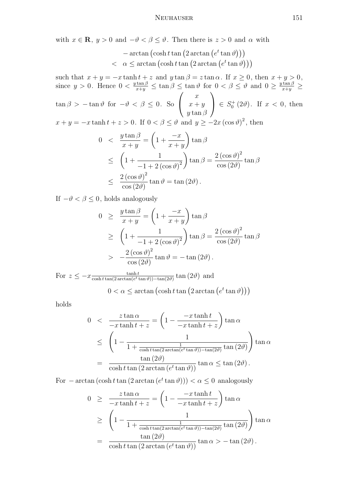with  $x \in \mathbf{R}$ ,  $y > 0$  and  $-\vartheta < \beta \le \vartheta$ . Then there is  $z > 0$  and  $\alpha$  with

$$
-\arctan\left(\cosh t \tan\left(2 \arctan\left(e^t \tan\vartheta\right)\right)\right) < \alpha \le \arctan\left(\cosh t \tan\left(2 \arctan\left(e^t \tan\vartheta\right)\right)\right)
$$

such that  $x + y = -x \tanh t + z$  and  $y \tan \beta = z \tan \alpha$ . If  $x \ge 0$ , then  $x + y > 0$ , since  $y > 0$ . Hence  $0 < \frac{y \tan \beta}{x+y} \le \tan \beta \le \tan \theta$  for  $0 < \beta \le \theta$  and  $0 \ge \frac{y \tan \beta}{x+y} \ge$  $\tan \beta > -\tan \vartheta$  for  $-\vartheta < \beta \leq 0$ . So  $\sqrt{ }$  $\overline{1}$  $\boldsymbol{x}$  $x + y$  $y \tan \beta$  $\setminus$  $\Big\} \in S_0^+(2\vartheta).$  If  $x < 0$ , then  $x + y = -x \tanh t + z > 0$ . If  $0 < \beta \le \vartheta$  and  $y \ge -2x (\cos \vartheta)^2$ , then

$$
0 < \frac{y \tan \beta}{x + y} = \left(1 + \frac{-x}{x + y}\right) \tan \beta
$$
  
\n
$$
\leq \left(1 + \frac{1}{-1 + 2\left(\cos \vartheta\right)^2}\right) \tan \beta = \frac{2\left(\cos \vartheta\right)^2}{\cos(2\vartheta)} \tan \beta
$$
  
\n
$$
\leq \frac{2\left(\cos \vartheta\right)^2}{\cos(2\vartheta)} \tan \vartheta = \tan(2\vartheta).
$$

If  $-\vartheta < \beta \leq 0$ , holds analogously

$$
0 \ge \frac{y \tan \beta}{x + y} = \left(1 + \frac{-x}{x + y}\right) \tan \beta
$$
  
\n
$$
\ge \left(1 + \frac{1}{-1 + 2\left(\cos \vartheta\right)^2}\right) \tan \beta = \frac{2\left(\cos \vartheta\right)^2}{\cos(2\vartheta)} \tan \beta
$$
  
\n
$$
> -\frac{2\left(\cos \vartheta\right)^2}{\cos(2\vartheta)} \tan \vartheta = -\tan(2\vartheta).
$$

For  $z \leq -x \frac{\tanh t}{\cosh t \tan(2 \arctan(e^t))}$  $\frac{\tanh t}{\cosh t \tan(2 \arctan(e^t \tan \vartheta)) - \tan(2\vartheta)} \tan(2\vartheta)$  and

$$
0 < \alpha \le \arctan\left(\cosh t \tan\left(2 \arctan\left(e^t \tan\vartheta\right)\right)\right)
$$

holds

$$
0 < \frac{z \tan \alpha}{-x \tanh t + z} = \left(1 - \frac{-x \tanh t}{-x \tanh t + z}\right) \tan \alpha
$$
  
\n
$$
\leq \left(1 - \frac{1}{1 + \frac{1}{\cosh t \tan(2 \arctan(e^t \tan \theta)) - \tan(2\theta)} \tan(2\theta)}\right) \tan \alpha
$$
  
\n
$$
= \frac{\tan (2\theta)}{\cosh t \tan (2 \arctan(e^t \tan \theta))} \tan \alpha \leq \tan (2\theta).
$$

For  $-\arctan(\cosh t \tan(2 \arctan(e^t \tan \theta))) < \alpha \leq 0$  analogously

$$
0 \geq \frac{z \tan \alpha}{-x \tanh t + z} = \left(1 - \frac{-x \tanh t}{-x \tanh t + z}\right) \tan \alpha
$$
  
\n
$$
\geq \left(1 - \frac{1}{1 + \frac{1}{\cosh t \tan(2 \arctan(e^t \tan \theta)) - \tan(2\theta)} \tan(2\theta)}\right) \tan \alpha
$$
  
\n
$$
= \frac{\tan (2\theta)}{\cosh t \tan (2 \arctan(e^t \tan \theta))} \tan \alpha > -\tan (2\theta).
$$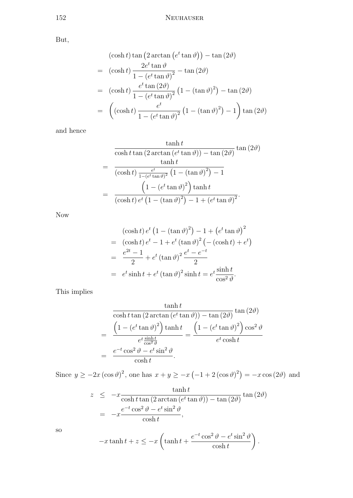But,

$$
(\cosh t) \tan (2 \arctan (e^t \tan \vartheta)) - \tan (2\vartheta)
$$
  
=  $(\cosh t) \frac{2e^t \tan \vartheta}{1 - (e^t \tan \vartheta)^2} - \tan (2\vartheta)$   
=  $(\cosh t) \frac{e^t \tan (2\vartheta)}{1 - (e^t \tan \vartheta)^2} (1 - (\tan \vartheta)^2) - \tan (2\vartheta)$   
=  $\left( (\cosh t) \frac{e^t}{1 - (e^t \tan \vartheta)^2} (1 - (\tan \vartheta)^2) - 1 \right) \tan (2\vartheta)$ 

and hence

$$
\frac{\tanh t}{\cosh t \tan (2 \arctan (e^t \tan \vartheta)) - \tan (2\vartheta)} \tan (2\vartheta)
$$

$$
= \frac{\tanh t}{(\cosh t) \frac{e^t}{1 - (e^t \tan \vartheta)^2} (1 - (\tan \vartheta)^2) - 1}
$$

$$
= \frac{\left(1 - (e^t \tan \vartheta)^2\right) \tanh t}{(\cosh t) e^t (1 - (\tan \vartheta)^2) - 1 + (e^t \tan \vartheta)^2}.
$$

Now

$$
(\cosh t) e^t (1 - (\tan \vartheta)^2) - 1 + (e^t \tan \vartheta)^2
$$
  
=  $(\cosh t) e^t - 1 + e^t (\tan \vartheta)^2 (- (\cosh t) + e^t)$   
=  $\frac{e^{2t} - 1}{2} + e^t (\tan \vartheta)^2 \frac{e^t - e^{-t}}{2}$   
=  $e^t \sinh t + e^t (\tan \vartheta)^2 \sinh t = e^t \frac{\sinh t}{\cos^2 \vartheta}$ .

This implies

$$
\frac{\tanh t}{\cosh t \tan (2 \arctan (e^t \tan \theta)) - \tan (2\theta)} \tan (2\theta)
$$

$$
= \frac{\left(1 - \left(e^t \tan \theta\right)^2\right) \tanh t}{e^t \frac{\sinh t}{\cos^2 \theta}} = \frac{\left(1 - \left(e^t \tan \theta\right)^2\right) \cos^2 \theta}{e^t \cosh t}
$$

$$
= \frac{e^{-t} \cos^2 \theta - e^t \sin^2 \theta}{\cosh t}.
$$

Since  $y \ge -2x (\cos \vartheta)^2$ , one has  $x + y \ge -x (-1 + 2(\cos \vartheta)^2) = -x \cos (2\vartheta)$  and

$$
z \leq -x \frac{\tanh t}{\cosh t \tan (2 \arctan (e^t \tan \vartheta)) - \tan (2\vartheta)} \tan (2\vartheta)
$$

$$
= -x \frac{e^{-t} \cos^2 \vartheta - e^t \sin^2 \vartheta}{\cosh t},
$$

so

$$
-x\tanh t + z \le -x\left(\tanh t + \frac{e^{-t}\cos^2\vartheta - e^t\sin^2\vartheta}{\cosh t}\right).
$$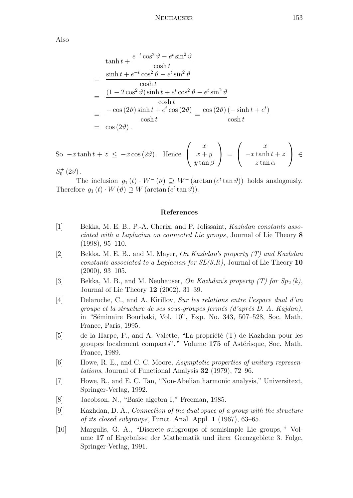Also

$$
\begin{aligned}\n\tanh t &+ \frac{e^{-t}\cos^2\vartheta - e^t\sin^2\vartheta}{\cosh t} \\
&= \frac{\sinh t + e^{-t}\cos^2\vartheta - e^t\sin^2\vartheta}{\cosh t} \\
&= \frac{(1 - 2\cos^2\vartheta)\sinh t + e^t\cos^2\vartheta - e^t\sin^2\vartheta}{\cosh t} \\
&= \frac{-\cos(2\vartheta)\sinh t + e^t\cos(2\vartheta)}{\cosh t} = \frac{\cos(2\vartheta)(-\sinh t + e^t)}{\cosh t} \\
&= \cos(2\vartheta).\n\end{aligned}
$$

So  $-x \tanh t + z \leq -x \cos(2\theta)$ . Hence  $\sqrt{ }$  $\overline{1}$  $\overline{x}$  $x + y$  $y \tan \beta$  $\setminus$  $\Big\} =$  $\sqrt{ }$  $\overline{1}$  $\overline{x}$  $-x \tanh t + z$  $z\tan\alpha$  $\setminus$  <sup>∈</sup>  $S_0^+(2\vartheta)$ .

The inclusion  $g_1(t) \cdot W^-(\theta) \supseteq W^-(\arctan(e^t \tan \theta))$  holds analogously. Therefore  $g_1(t) \cdot W(\vartheta) \supseteq W(\arctan(e^t \tan \vartheta)).$ 

## References

- [1] Bekka, M. E. B., P.-A. Cherix, and P. Jolissaint, Kazhdan constants associated with a Laplacian on connected Lie groups, Journal of Lie Theory 8 (1998), 95–110.
- [2] Bekka, M. E. B., and M. Mayer, On Kazhdan's property (T) and Kazhdan constants associated to a Laplacian for  $SL(3,R)$ , Journal of Lie Theory 10 (2000), 93–105.
- [3] Bekka, M. B., and M. Neuhauser, On Kazhdan's property  $(T)$  for  $Sp_2(k)$ , Journal of Lie Theory 12 (2002), 31–39.
- [4] Delaroche, C., and A. Kirillov, Sur les relations entre l'espace dual d'un groupe et la structure de ses sous-groupes fermés (d'aprés  $D$ . A. Kajdan), in "Séminaire Bourbaki, Vol. 10", Exp. No. 343, 507–528, Soc. Math. France, Paris, 1995.
- $[5]$  de la Harpe, P., and A. Valette, "La propriété  $(T)$  de Kazhdan pour les groupes localement compacts"," Volume 175 of Astérisque, Soc. Math. France, 1989.
- [6] Howe, R. E., and C. C. Moore, Asymptotic properties of unitary representations, Journal of Functional Analysis 32 (1979), 72–96.
- [7] Howe, R., and E. C. Tan, "Non-Abelian harmonic analysis," Universitext, Springer-Verlag, 1992.
- [8] Jacobson, N., "Basic algebra I," Freeman, 1985.
- [9] Kazhdan, D. A., Connection of the dual space of a group with the structure of its closed subgroups, Funct. Anal. Appl. 1 (1967), 63–65.
- [10] Margulis, G. A., "Discrete subgroups of semisimple Lie groups, " Volume 17 of Ergebnisse der Mathematik und ihrer Grenzgebiete 3. Folge, Springer-Verlag, 1991.